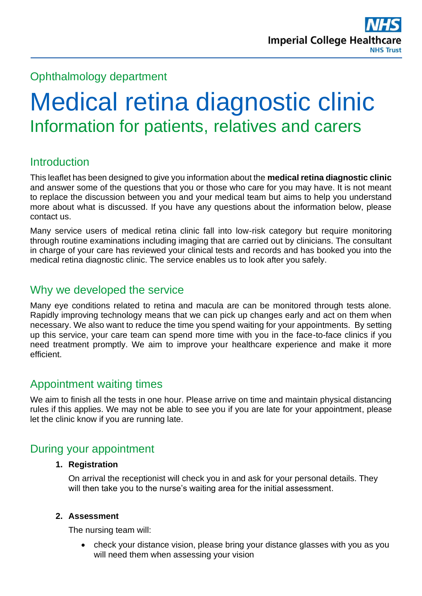## Ophthalmology department

# Medical retina diagnostic clinic Information for patients, relatives and carers

# **Introduction**

This leaflet has been designed to give you information about the **medical retina diagnostic clinic** and answer some of the questions that you or those who care for you may have. It is not meant to replace the discussion between you and your medical team but aims to help you understand more about what is discussed. If you have any questions about the information below, please contact us.

Many service users of medical retina clinic fall into low-risk category but require monitoring through routine examinations including imaging that are carried out by clinicians. The consultant in charge of your care has reviewed your clinical tests and records and has booked you into the medical retina diagnostic clinic. The service enables us to look after you safely.

## Why we developed the service

Many eye conditions related to retina and macula are can be monitored through tests alone. Rapidly improving technology means that we can pick up changes early and act on them when necessary. We also want to reduce the time you spend waiting for your appointments. By setting up this service, your care team can spend more time with you in the face-to-face clinics if you need treatment promptly. We aim to improve your healthcare experience and make it more efficient.

## Appointment waiting times

We aim to finish all the tests in one hour. Please arrive on time and maintain physical distancing rules if this applies. We may not be able to see you if you are late for your appointment, please let the clinic know if you are running late.

## During your appointment

#### **1. Registration**

On arrival the receptionist will check you in and ask for your personal details. They will then take you to the nurse's waiting area for the initial assessment.

#### **2. Assessment**

The nursing team will:

• check your distance vision, please bring your distance glasses with you as you will need them when assessing your vision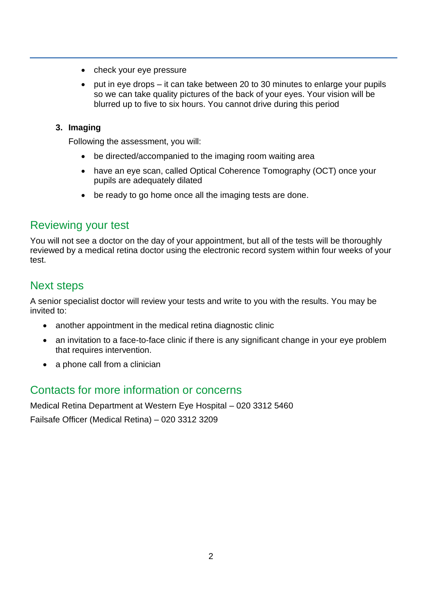- check your eye pressure
- put in eye drops it can take between 20 to 30 minutes to enlarge your pupils so we can take quality pictures of the back of your eyes. Your vision will be blurred up to five to six hours. You cannot drive during this period

#### **3. Imaging**

Following the assessment, you will:

- be directed/accompanied to the imaging room waiting area
- have an eye scan, called Optical Coherence Tomography (OCT) once your pupils are adequately dilated
- be ready to go home once all the imaging tests are done.

## Reviewing your test

You will not see a doctor on the day of your appointment, but all of the tests will be thoroughly reviewed by a medical retina doctor using the electronic record system within four weeks of your test.

## Next steps

A senior specialist doctor will review your tests and write to you with the results. You may be invited to:

- another appointment in the medical retina diagnostic clinic
- an invitation to a face-to-face clinic if there is any significant change in your eye problem that requires intervention.
- a phone call from a clinician

## Contacts for more information or concerns

Medical Retina Department at Western Eye Hospital – 020 3312 5460 Failsafe Officer (Medical Retina) – 020 3312 3209